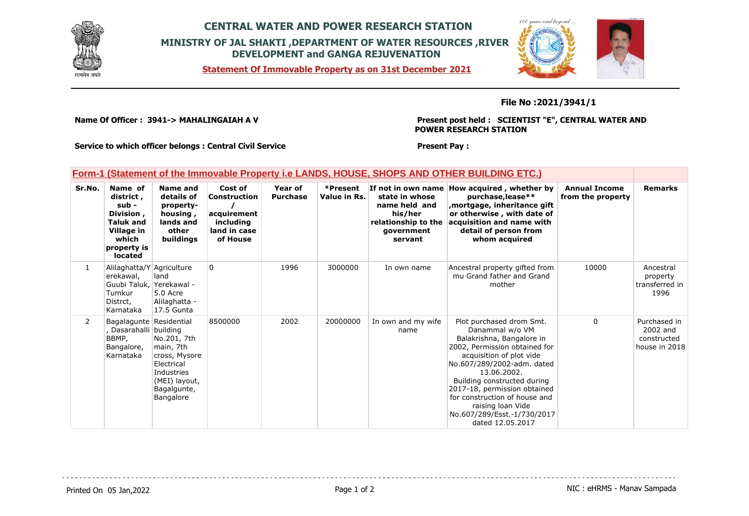

# **CENTRAL WATER AND POWER RESEARCH STATION MINISTRY OF JAL SHAKTI ,DEPARTMENT OF WATER RESOURCES ,RIVER DEVELOPMENT and GANGA REJUVENATION**

**Statement Of Immovable Property as on 31st December 2021**

**Present Pay :** 



### **File No :2021/3941/1**

**Name Of Officer : 3941-> MAHALINGAIAH A V** 

**Present post held : SCIENTIST "E", CENTRAL WATER AND POWER RESEARCH STATION**

 $100$ 

**Service to which officer belongs : Central Civil Service**

### **Form-1 (Statement of the Immovable Property i.e LANDS, HOUSE, SHOPS AND OTHER BUILDING ETC.)**

| Sr.No.         | Name of<br>district,<br>sub -<br>Division,<br><b>Taluk and</b><br>Village in<br>which<br>property is<br>located | Name and<br>details of<br>property-<br>housing,<br>lands and<br>other<br>buildings                                 | Cost of<br>Construction<br>acquirement<br>including<br>land in case<br>of House | Year of<br><b>Purchase</b> | *Present<br>Value in Rs. | If not in own name<br>state in whose<br>name held and<br>his/her<br>relationship to the<br>government<br>servant | How acquired, whether by<br>purchase, lease**<br>mortgage, inheritance gift,<br>or otherwise, with date of<br>acquisition and name with<br>detail of person from<br>whom acquired                                                                                                                                                                          | <b>Annual Income</b><br>from the property | <b>Remarks</b>                                           |
|----------------|-----------------------------------------------------------------------------------------------------------------|--------------------------------------------------------------------------------------------------------------------|---------------------------------------------------------------------------------|----------------------------|--------------------------|------------------------------------------------------------------------------------------------------------------|------------------------------------------------------------------------------------------------------------------------------------------------------------------------------------------------------------------------------------------------------------------------------------------------------------------------------------------------------------|-------------------------------------------|----------------------------------------------------------|
| $\mathbf{1}$   | Alilaghatta/Y Agriculture<br>erekawal,<br>Guubi Taluk, Yerekawal -<br>Tumkur<br>Distrct,<br>Karnataka           | land<br>5.0 Acre<br>Alilaghatta -<br>17.5 Gunta                                                                    | $\Omega$                                                                        | 1996                       | 3000000                  | In own name                                                                                                      | Ancestral property gifted from<br>mu Grand father and Grand<br>mother                                                                                                                                                                                                                                                                                      | 10000                                     | Ancestral<br>property<br>transferred in<br>1996          |
| $\overline{2}$ | Bagalagunte Residential<br>Dasarahalli building<br>BBMP,<br>Bangalore,<br>Karnataka                             | No.201, 7th<br>main, 7th<br>cross, Mysore<br>Electrical<br>Industries<br>(MEI) layout,<br>Bagalgunte,<br>Bangalore | 8500000                                                                         | 2002                       | 20000000                 | In own and my wife<br>name                                                                                       | Plot purchased drom Smt.<br>Danammal w/o VM<br>Balakrishna, Bangalore in<br>2002, Permission obtained for<br>acquisition of plot vide<br>No.607/289/2002-adm. dated<br>13.06.2002.<br>Building constructed during<br>2017-18, permission obtained<br>for construction of house and<br>raising loan Vide<br>No.607/289/Esst.-1/730/2017<br>dated 12.05.2017 | $\Omega$                                  | Purchased in<br>2002 and<br>constructed<br>house in 2018 |

Printed On 05 Jan, 2022 **Page 1 of 2** Page 1 of 2 Page 1 of 2 NIC : eHRMS - Manav Sampada